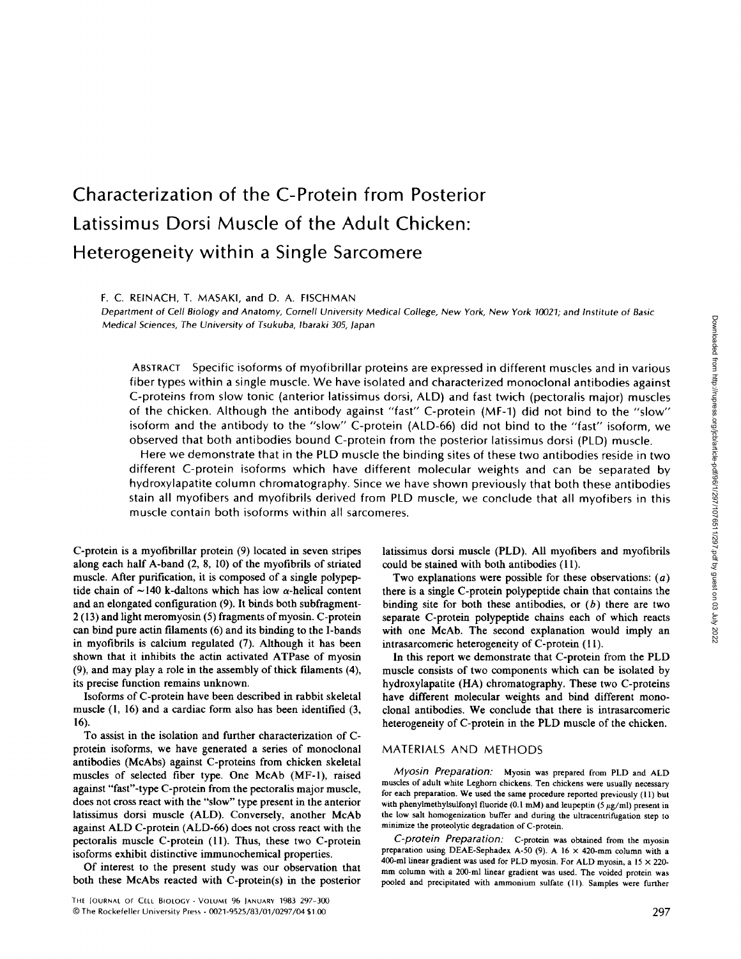# **Characterization of the C-Protein from Posterior**  Latissimus Dorsi Muscle of the Adult Chicken: **Heterogeneity within a Single Sarcomere**

#### F. C. REINACH, T. MASAKI, and D. A. FISCHMAN

*Department of Cell Biology and Anatomy, Cornell University Medical College, New York,* New *York 10021; and Institute of Basic Medical Sciences, The University of Tsukuba, Ibaraki 305, Japan* 

ABSTRACT Specific isoforms of myofibrillar proteins are expressed in different muscles and in various fiber types within a single muscle. We have isolated and characterized monoclonal antibodies against C-proteins from slow tonic (anterior latissimus dorsi, ALD) and fast twich (pectoralis major) muscles of the chicken. Although the antibody against "fast" C-protein (MF-1) did not bind to the "slow" isoform and the antibody to the "slow" C-protein (ALD-66) did not bind to the "fast" isoform, we observed that both antibodies bound C-protein from the posterior latissimus dorsi (PLD) muscle.

Here we demonstrate that in the PLD muscle the binding sites of these two antibodies reside in two different C-protein isoforms which have different molecular weights and can be separated by hydroxylapatite column chromatography. Since we have shown previously that both these antibodies stain all myofibers and myofibrils derived from PLD muscle, we conclude that all myofibers in this muscle contain both isoforms within all sarcomeres.

C-protein is a myofibrillar protein (9) located in seven stripes along each half A-band (2, 8, 10) of the myofibrils of striated muscle. After purification, it is composed of a single polypeptide chain of  $\sim$  140 k-daltons which has low  $\alpha$ -helical content and an elongated configuration (9). It binds both subfragment-2 (13) and light meromyosin (5) fragments of myosin. C-protein can bind pure actin filaments (6) and its binding to the I-bands in myofibrils is calcium regulated (7). Although it has been shown that it inhibits the actin activated ATPase of myosin (9), and may play a role in the assembly of thick fdaments (4), its precise function remains unknown.

Isoforms of C-protein have been described in rabbit skeletal muscle (1, 16) and a cardiac form also has been identified (3, 16).

To assist in the isolation and further characterization of Cprotein isoforms, we have generated a series of monoclonal antibodies (McAbs) against C-proteins from chicken skeletal muscles of selected fiber type. One McAb (MF-1), raised against "fast"-type C-protein from the pectoralis major muscle, does not cross react with the "slow" type present in the anterior latissimus dorsi muscle (ALD). Conversely, another McAb against ALD C-protein (ALD-66) does not cross react with the pectoralis muscle C-protein (11). Thus, these two C-protein isoforms exhibit distinctive immunochemical properties.

Of interest to the present study was our observation that both these McAbs reacted with C-protein(s) in the posterior latissimus dorsi muscle (PLD). All myofibers and myofibrils could be stained with both antibodies (11).

Two explanations were possible for these observations:  $(a)$ there is a single C-protein polypeptide chain that contains the binding site for both these antibodies, or  $(b)$  there are two separate C-protein polypeptide chains each of which reacts with one McAb. The second explanation would imply an intrasarcomeric heterogeneity of C-protein (11).

In this report we demonstrate that C-protein from the PLD muscle consists of two components which can be isolated by hydroxylapatite (HA) chromatography. These two C-proteins have different molecular weights and bind different monoclonal antibodies. We conclude that there is intrasarcomeric heterogeneity of C-protein in the PLD muscle of the chicken.

## MATERIALS AND METHODS

*Myosin Preparation:* Myosin was prepared from PLD and ALD muscles of adult white Leghorn chickens. Ten chickens were usually necessary for each preparation. We used the same procedure reported previously (11) but with phenylmethylsulfonyl fluoride (0.1 mM) and leupeptin (5  $\mu$ g/ml) present in the low salt homogenization buffer and during the ultracentrifugation step to minimize the proteolytic degradation of C-protein.

*C-protein Preparation:* C-protein was obtained from the myosin preparation using DEAE-Sephadex A-50 (9). A 16  $\times$  420-mm column with a 400-ml linear gradient was used for PLD myosin. For ALD myosin, a  $15 \times 220$ mm column with a 200-ml linear gradient was used. The voided protein was pooled and precipitated with ammonium sulfate (11). Samples were further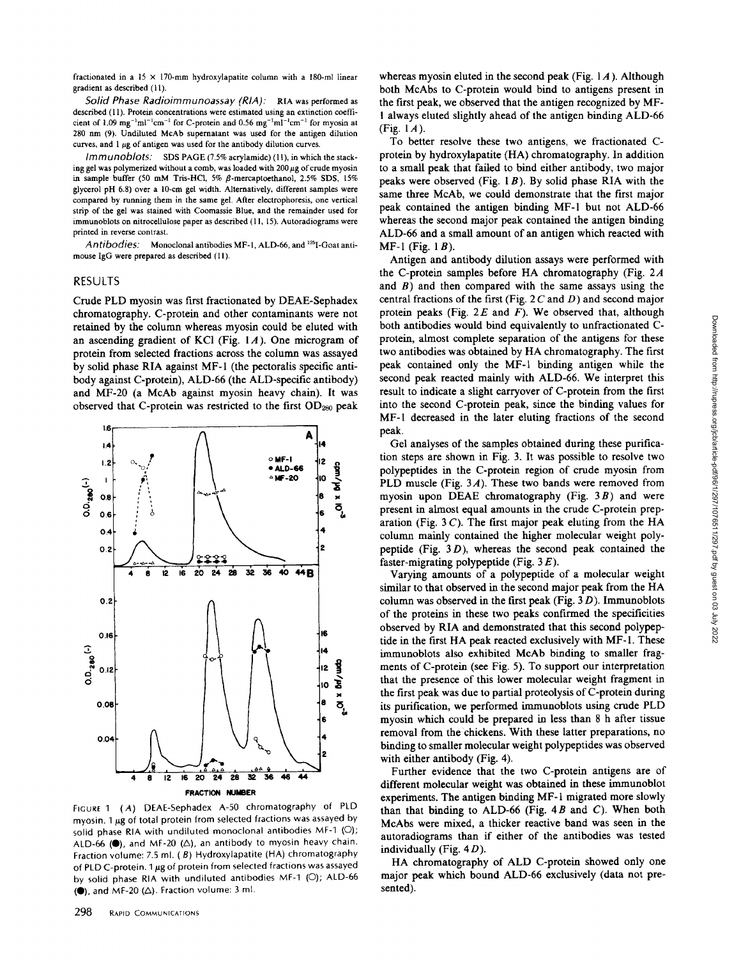fractionated in a  $15 \times 170$ -mm hydroxylapatite column with a 180-ml linear gradient as described (11).

*Solid Phase Radioimmunoassay (RIA):* RIA was performed as described (11). Protein concentrations were estimated using an extinction coefficient of 1.09  $mg^{-1}ml^{-1}cm^{-1}$  for C-protein and 0.56  $mg^{-1}ml^{-1}cm^{-1}$  for myosin at 280 nm (9). Undiluted McAb supernatant was used for the antigen dilution curves, and  $1 \mu$ g of antigen was used for the antibody dilution curves.

*Immunoblots:* SDS PAGE (7.5% acrylamide) (11), in which the stacking gel was polymerized without a comb, was loaded with  $200 \mu$ g of crude myosin in sample buffer (50 mM Tris-HCl, 5%  $\beta$ -mercaptoethanol, 2.5% SDS, 15% glycerol pH 6.8) over a 10-cm gel width. Alternatively, different samples were compared by running them in the same gel. After electrophoresis, one vertical strip of the gel was stained with Coomassie Blue, and the remainder used for immunoblots on nitrocellulose paper as described (11, 15). Autoradiograms were printed in reverse contrast.

Antibodies: Monoclonal antibodies MF-1, ALD-66, and <sup>125</sup>I-Goat antimouse IgG were prepared as described (11).

#### RESULTS

Crude PLD myosin was first fractionated by DEAE-Sephadex chromatography. C-protein and other contaminants were not retained by the column whereas myosin could be eluted with an ascending gradient of KCI (Fig. 1A). One microgram of protein from selected fractions across the column was assayed by solid phase RIA against MF-1 (the pectoralis specific antibody against C-protein), ALD-66 (the ALD-specific antibody) and MF-20 (a McAb against myosin heavy chain). It was observed that C-protein was restricted to the first OD28o peak



FIGURE 1 (A) DEAE-Sephadex A-50 chromatography of PLD myosin. 1  $\mu$ g of total protein from selected fractions was assayed by solid phase RIA with undiluted monoclonal antibodies MF-1 (O); ALD-66 ( $\bullet$ ), and MF-20 ( $\triangle$ ), an antibody to myosin heavy chain. Fraction volume: 7.5 ml. (B) Hydroxylapatite (HA) chromatography of PLD C-protein. 1 µg of protein from selected fractions was assayed by solid phase RIA with undiluted antibodies MF-1 (C)); ALD-66  $(•)$ , and MF-20 ( $\Delta$ ). Fraction volume: 3 ml.

whereas myosin eluted in the second peak (Fig.  $1A$ ). Although both McAbs to C-protein would bind to antigens present in the first peak, we observed that the antigen recognized by MF-1 always eluted slightly ahead of the antigen binding ALD-66 (Fig.  $1A$ ).

To better resolve these two antigens, we fractionated Cprotein by hydroxylapatite (HA) chromatography. In addition to a small peak that failed to bind either antibody, two major peaks were observed (Fig.  $1B$ ). By solid phase RIA with the same three McAb, we could demonstrate that the first major peak contained the antigen binding MF-1 but not ALD-66 whereas the second major peak contained the antigen binding ALD-66 and a small amount of an antigen which reacted with  $MF-1$  (Fig. 1 $B$ ).

Antigen and antibody dilution assays were performed with the C-protein samples before HA chromatography (Fig. 2A and  $B$ ) and then compared with the same assays using the central fractions of the first (Fig.  $2 C$  and D) and second major protein peaks (Fig.  $2E$  and F). We observed that, although both antibodies would bind equivalently to unfractionated Cprotein, almost complete separation of the antigens for these two antibodies was obtained by HA chromatography. The first peak contained only the MF-I binding antigen while the second peak reacted mainly with ALD-66. We interpret this result to indicate a slight carryover of C-protein from the first into the second C-protein peak, since the binding values for MF-I decreased in the later eluting fractions of the second peak.

Gel analyses of the samples obtained during these purification steps are shown in Fig. 3. It was possible to resolve two polypeptides in the C-protein region of crude myosin from PLD muscle (Fig. 3A). These two bands were removed from myosin upon DEAE chromatography (Fig.  $3B$ ) and were present in almost equal amounts in the crude C-protein preparation (Fig.  $3 C$ ). The first major peak eluting from the HA column mainly contained the higher molecular weight polypeptide (Fig.  $3D$ ), whereas the second peak contained the faster-migrating polypeptide (Fig.  $3E$ ).

Varying amounts of a polypeptide of a molecular weight similar to that observed in the second major peak from the HA column was observed in the first peak (Fig.  $3D$ ). Immunoblots of the proteins in these two peaks confirmed the specificities observed by RIA and demonstrated that this second polypeptide in the first HA peak reacted exclusively with MF-1. These immunoblots also exhibited McAb binding to smaller fragments of C-protein (see Fig. 5). To support our interpretation that the presence of this lower molecular weight fragment in the first peak was due to partial proteolysis of C-protein during its purification, we performed immunoblots using crude PLD myosin which could be prepared in less than 8 h after tissue removal from the chickens. With these latter preparations, no binding to smaller molecular weight polypeptides was observed with either antibody (Fig. 4).

Further evidence that the two C-protein antigens are of different molecular weight was obtained in these immunoblot experiments. The antigen binding MF-1 migrated more slowly than that binding to ALD-66 (Fig.  $4B$  and C). When both McAbs were mixed, a thicker reactive band was seen in the autoradiograms than if either of the antibodies was tested individually (Fig.  $4D$ ).

HA chromatography of ALD C-protein showed only one major peak which bound ALD-66 exclusively (data not presented).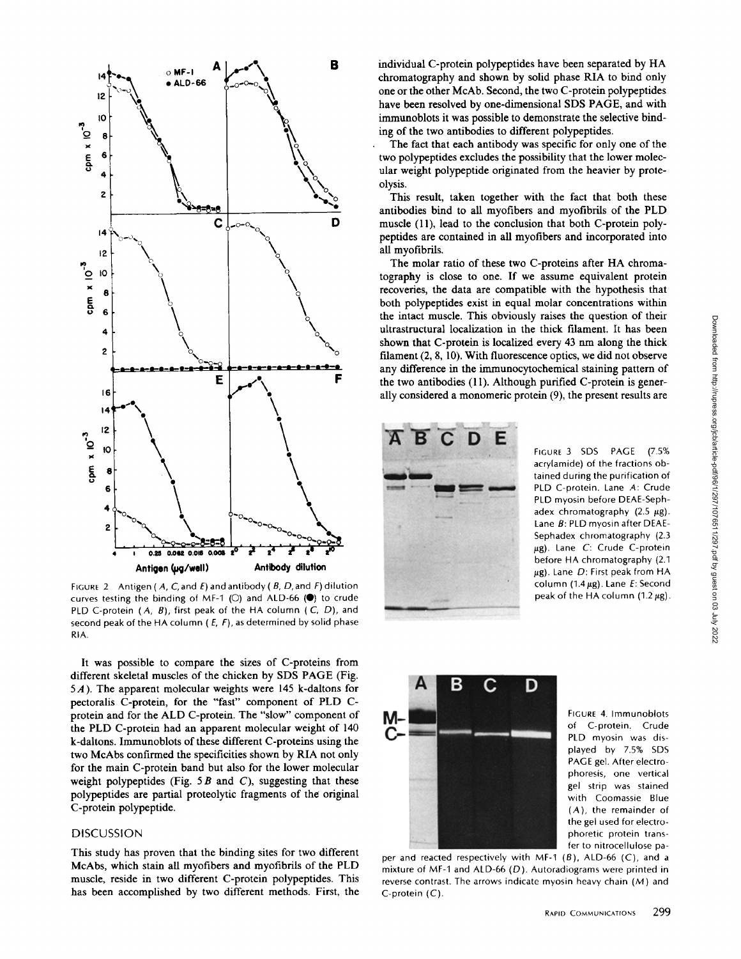

FIGURE 2 Antigen ( A, C, and E) and antibody ( B, D, and F) dilution curves testing the binding of MF-1 ( $\circ$ ) and ALD-66 ( $\bullet$ ) to crude PLD C-protein (A, B), first peak of the HA column ( C, *D),* and second peak of the HA column ( $E$ ,  $F$ ), as determined by solid phase RIA.

It was possible to compare the sizes of C-proteins from different skeletal muscles of the chicken by SDS PAGE (Fig. 5A). The apparent molecular weights were 145 k-daltons for pectoralis C-protein, for the "fast" component of PLD Cprotein and for the ALD C-protein. The "slow" component of the PLD C-protein had an apparent molecular weight of 140 k-daltons. Immunoblots of these different C-proteins using the two McAbs confirmed the specificities shown by RIA not only for the main C-protein band but also for the lower molecular weight polypeptides (Fig.  $5B$  and C), suggesting that these polypeptides are partial proteolytic fragments of the original C-protein polypeptide.

### DISCUSSION

This study has proven that the binding sites for two different McAbs, which stain all myofibers and myofibrils of the PLD muscle, reside in two different C-protein polypeptides. This has been accomplished by two different methods. First, the individual C-protein polypeptides have been separated by HA chromatography and shown by solid phase RIA to bind only one or the other McAb. Second, the two C-protein polypeptides have been resolved by one-dimensional SDS PAGE, and with immunoblots it was possible to demonstrate the selective binding of the two antibodies to different polypeptides.

The fact that each antibody was specific for only one of the two polypeptides excludes the possibility that the lower molecular weight polypeptide originated from the heavier by proteolysis.

This result, taken together with the fact that both these antibodies bind to all myofibers and myofibrils of the PLD muscle (11), lead to the conclusion that both C-protein polypeptides are contained in all myofibers and incorporated into all myofibrils.

The molar ratio of these two C-proteins after HA chromatography is close to one. If we assume equivalent protein recoveries, the data are compatible with the hypothesis that both polypeptides exist in equal molar concentrations within the intact muscle. This obviously raises the question of their ultrastructural localization in the thick filament. It has been shown that C-protein is localized every 43 nm along the thick filament (2, 8, 10). With fluorescence optics, we did not observe any difference in the immunocytochemical staining pattern of the two antibodies (11). Although purified C-protein is generally considered a monomeric protein (9), the present results are



FIGURE 3 SDS PAGE (7.5% acrylamide) of the fractions obtained during the purification of PLD C-protein. Lane A: Crude PLD myosin before DEAE-Sephadex chromatography  $(2.5 \mu g)$ . Lane B: PLD myosin after DEAE-Sephadex chromatography (2.3  $\mu$ g). Lane C: Crude C-protein before HA chromatography (2.1  $\mu$ g). Lane D: First peak from HA column (1.4  $\mu$ g). Lane E: Second peak of the HA column (1.2  $\mu$ g).



FIGURE 4, Immunoblots of C-protein. Crude PLD myosin was displayed by 7.5% SDS PAGE gel. After electrophoresis, one vertical gel strip was stained with Coomassie Blue (A), the remainder of the gel used for electrophoretic protein transfer to nitrocellulose pa-

per and reacted respectively with MF-1  $(B)$ , ALD-66  $(C)$ , and a mixture of MF-I and ALD-66 (D). Autoradiograms were printed in reverse contrast. The arrows indicate myosin heavy chain (M) and C-protein (C).